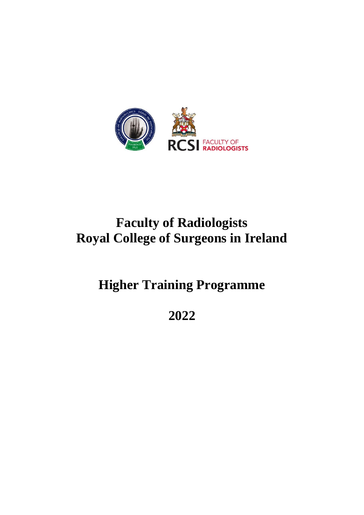

# **Faculty of Radiologists Royal College of Surgeons in Ireland**

**Higher Training Programme**

**2022**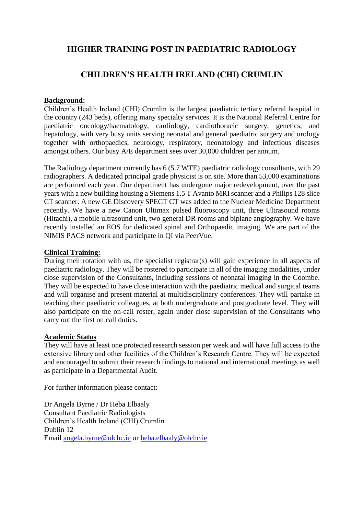# **HIGHER TRAINING POST IN PAEDIATRIC RADIOLOGY**

# **CHILDREN'S HEALTH IRELAND (CHI) CRUMLIN**

## **Background:**

Children's Health Ireland (CHI) Crumlin is the largest paediatric tertiary referral hospital in the country (243 beds), offering many specialty services. It is the National Referral Centre for paediatric oncology/haematology, cardiology, cardiothoracic surgery, genetics, and hepatology, with very busy units serving neonatal and general paediatric surgery and urology together with orthopaedics, neurology, respiratory, neonatology and infectious diseases amongst others. Our busy A/E department sees over 30,000 children per annum.

The Radiology department currently has 6 (5.7 WTE) paediatric radiology consultants, with 29 radiographers. A dedicated principal grade physicist is on site. More than 53,000 examinations are performed each year. Our department has undergone major redevelopment, over the past years with a new building housing a Siemens 1.5 T Avanto MRI scanner and a Philips 128 slice CT scanner. A new GE Discovery SPECT CT was added to the Nuclear Medicine Department recently. We have a new Canon Ultimax pulsed fluoroscopy unit, three Ultrasound rooms (Hitachi), a mobile ultrasound unit, two general DR rooms and biplane angiography. We have recently installed an EOS for dedicated spinal and Orthopaedic imaging. We are part of the NIMIS PACS network and participate in QI via PeerVue.

### **Clinical Training:**

During their rotation with us, the specialist registrar(s) will gain experience in all aspects of paediatric radiology. They will be rostered to participate in all of the imaging modalities, under close supervision of the Consultants, including sessions of neonatal imaging in the Coombe. They will be expected to have close interaction with the paediatric medical and surgical teams and will organise and present material at multidisciplinary conferences. They will partake in teaching their paediatric colleagues, at both undergraduate and postgraduate level. They will also participate on the on-call roster, again under close supervision of the Consultants who carry out the first on call duties.

#### **Academic Status**

They will have at least one protected research session per week and will have full access to the extensive library and other facilities of the Children's Research Centre. They will be expected and encouraged to submit their research findings to national and international meetings as well as participate in a Departmental Audit.

For further information please contact:

Dr Angela Byrne / Dr Heba Elbaaly Consultant Paediatric Radiologists Children's Health Ireland (CHI) Crumlin Dublin 12 Email [angela.byrne@olchc.ie](mailto:angela.byrne@olchc.ie) or [heba.elbaaly@olchc.ie](mailto:heba.elbaaly@olchc.ie)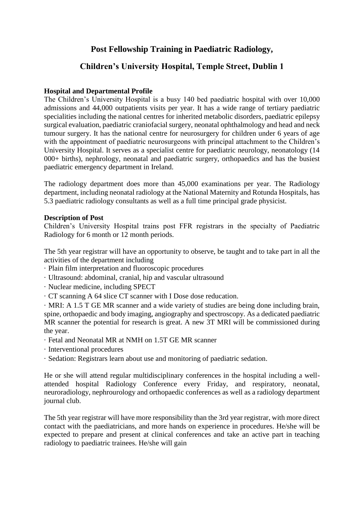# **Post Fellowship Training in Paediatric Radiology,**

# **Children's University Hospital, Temple Street, Dublin 1**

## **Hospital and Departmental Profile**

The Children's University Hospital is a busy 140 bed paediatric hospital with over 10,000 admissions and 44,000 outpatients visits per year. It has a wide range of tertiary paediatric specialities including the national centres for inherited metabolic disorders, paediatric epilepsy surgical evaluation, paediatric craniofacial surgery, neonatal ophthalmology and head and neck tumour surgery. It has the national centre for neurosurgery for children under 6 years of age with the appointment of paediatric neurosurgeons with principal attachment to the Children's University Hospital. It serves as a specialist centre for paediatric neurology, neonatology (14 000+ births), nephrology, neonatal and paediatric surgery, orthopaedics and has the busiest paediatric emergency department in Ireland.

The radiology department does more than 45,000 examinations per year. The Radiology department, including neonatal radiology at the National Maternity and Rotunda Hospitals, has 5.3 paediatric radiology consultants as well as a full time principal grade physicist.

### **Description of Post**

Children's University Hospital trains post FFR registrars in the specialty of Paediatric Radiology for 6 month or 12 month periods.

The 5th year registrar will have an opportunity to observe, be taught and to take part in all the activities of the department including

- · Plain film interpretation and fluoroscopic procedures
- · Ultrasound: abdominal, cranial, hip and vascular ultrasound
- · Nuclear medicine, including SPECT
- · CT scanning A 64 slice CT scanner with I Dose dose reducation.

· MRI: A 1.5 T GE MR scanner and a wide variety of studies are being done including brain, spine, orthopaedic and body imaging, angiography and spectroscopy. As a dedicated paediatric MR scanner the potential for research is great. A new 3T MRI will be commissioned during the year.

- · Fetal and Neonatal MR at NMH on 1.5T GE MR scanner
- · Interventional procedures
- · Sedation: Registrars learn about use and monitoring of paediatric sedation.

He or she will attend regular multidisciplinary conferences in the hospital including a wellattended hospital Radiology Conference every Friday, and respiratory, neonatal, neuroradiology, nephrourology and orthopaedic conferences as well as a radiology department journal club.

The 5th year registrar will have more responsibility than the 3rd year registrar, with more direct contact with the paediatricians, and more hands on experience in procedures. He/she will be expected to prepare and present at clinical conferences and take an active part in teaching radiology to paediatric trainees. He/she will gain